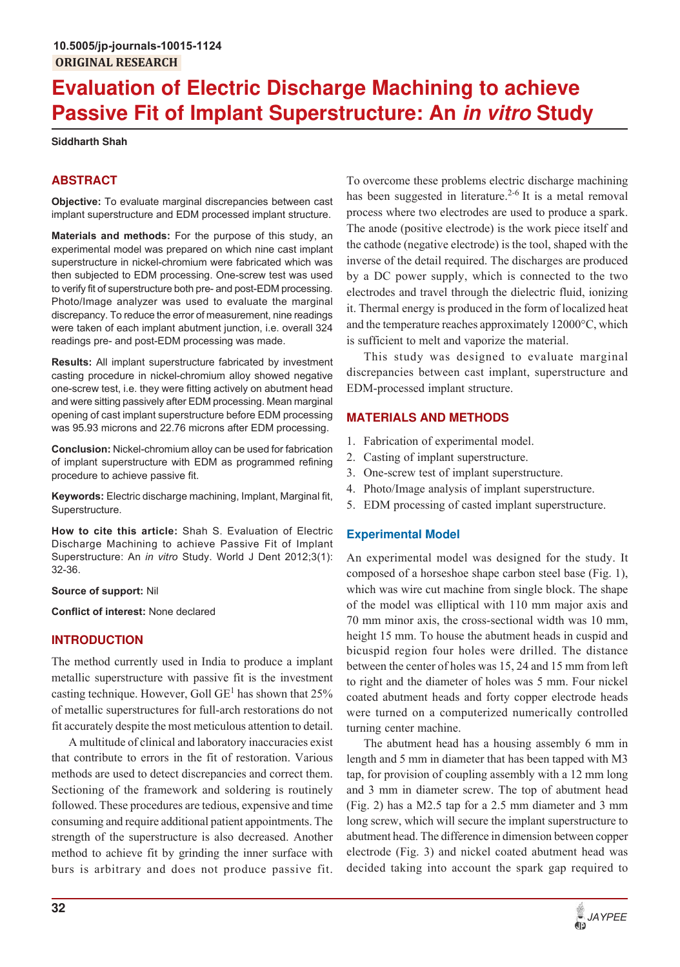# **Evaluation of Electric Discharge Machining to achieve Passive Fit of Implant Superstructure: An in vitro Study**

**Siddharth Shah**

# **ABSTRACT**

**Objective:** To evaluate marginal discrepancies between cast implant superstructure and EDM processed implant structure.

**Materials and methods:** For the purpose of this study, an experimental model was prepared on which nine cast implant superstructure in nickel-chromium were fabricated which was then subjected to EDM processing. One-screw test was used to verify fit of superstructure both pre- and post-EDM processing. Photo/Image analyzer was used to evaluate the marginal discrepancy. To reduce the error of measurement, nine readings were taken of each implant abutment junction, i.e. overall 324 readings pre- and post-EDM processing was made.

**Results:** All implant superstructure fabricated by investment casting procedure in nickel-chromium alloy showed negative one-screw test, i.e. they were fitting actively on abutment head and were sitting passively after EDM processing. Mean marginal opening of cast implant superstructure before EDM processing was 95.93 microns and 22.76 microns after EDM processing.

**Conclusion:** Nickel-chromium alloy can be used for fabrication of implant superstructure with EDM as programmed refining procedure to achieve passive fit.

**Keywords:** Electric discharge machining, Implant, Marginal fit, Superstructure.

**How to cite this article:** Shah S. Evaluation of Electric Discharge Machining to achieve Passive Fit of Implant Superstructure: An *in vitro* Study. World J Dent 2012;3(1): 32-36.

# **Source of support:** Nil

**Conflict of interest:** None declared

# **INTRODUCTION**

The method currently used in India to produce a implant metallic superstructure with passive fit is the investment casting technique. However, Goll  $GE<sup>1</sup>$  has shown that 25% of metallic superstructures for full-arch restorations do not fit accurately despite the most meticulous attention to detail.

A multitude of clinical and laboratory inaccuracies exist that contribute to errors in the fit of restoration. Various methods are used to detect discrepancies and correct them. Sectioning of the framework and soldering is routinely followed. These procedures are tedious, expensive and time consuming and require additional patient appointments. The strength of the superstructure is also decreased. Another method to achieve fit by grinding the inner surface with burs is arbitrary and does not produce passive fit.

To overcome these problems electric discharge machining has been suggested in literature.<sup>2-6</sup> It is a metal removal process where two electrodes are used to produce a spark. The anode (positive electrode) is the work piece itself and the cathode (negative electrode) is the tool, shaped with the inverse of the detail required. The discharges are produced by a DC power supply, which is connected to the two electrodes and travel through the dielectric fluid, ionizing it. Thermal energy is produced in the form of localized heat and the temperature reaches approximately 12000°C, which is sufficient to melt and vaporize the material.

This study was designed to evaluate marginal discrepancies between cast implant, superstructure and EDM-processed implant structure.

# **MATERIALS AND METHODS**

- 1. Fabrication of experimental model.
- 2. Casting of implant superstructure.
- 3. One-screw test of implant superstructure.
- 4. Photo/Image analysis of implant superstructure.
- 5. EDM processing of casted implant superstructure.

# **Experimental Model**

An experimental model was designed for the study. It composed of a horseshoe shape carbon steel base (Fig. 1), which was wire cut machine from single block. The shape of the model was elliptical with 110 mm major axis and 70 mm minor axis, the cross-sectional width was 10 mm, height 15 mm. To house the abutment heads in cuspid and bicuspid region four holes were drilled. The distance between the center of holes was 15, 24 and 15 mm from left to right and the diameter of holes was 5 mm. Four nickel coated abutment heads and forty copper electrode heads were turned on a computerized numerically controlled turning center machine.

The abutment head has a housing assembly 6 mm in length and 5 mm in diameter that has been tapped with M3 tap, for provision of coupling assembly with a 12 mm long and 3 mm in diameter screw. The top of abutment head (Fig. 2) has a M2.5 tap for a 2.5 mm diameter and 3 mm long screw, which will secure the implant superstructure to abutment head. The difference in dimension between copper electrode (Fig. 3) and nickel coated abutment head was decided taking into account the spark gap required to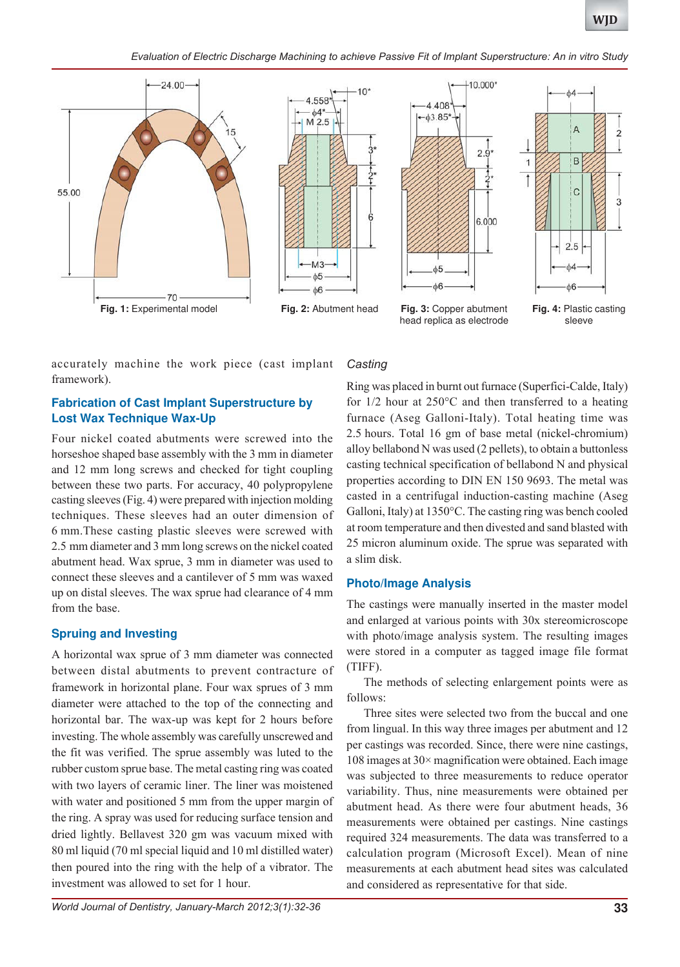*Evaluation of Electric Discharge Machining to achieve Passive Fit of Implant Superstructure: An in vitro Study*







head replica as electrode



**Fig. 4:** Plastic casting sleeve

accurately machine the work piece (cast implant framework).

# **Fabrication of Cast Implant Superstructure by Lost Wax Technique Wax-Up**

Four nickel coated abutments were screwed into the horseshoe shaped base assembly with the 3 mm in diameter and 12 mm long screws and checked for tight coupling between these two parts. For accuracy, 40 polypropylene casting sleeves (Fig. 4) were prepared with injection molding techniques. These sleeves had an outer dimension of 6 mm.These casting plastic sleeves were screwed with 2.5 mm diameter and 3 mm long screws on the nickel coated abutment head. Wax sprue, 3 mm in diameter was used to connect these sleeves and a cantilever of 5 mm was waxed up on distal sleeves. The wax sprue had clearance of 4 mm from the base.

# **Spruing and Investing**

A horizontal wax sprue of 3 mm diameter was connected between distal abutments to prevent contracture of framework in horizontal plane. Four wax sprues of 3 mm diameter were attached to the top of the connecting and horizontal bar. The wax-up was kept for 2 hours before investing. The whole assembly was carefully unscrewed and the fit was verified. The sprue assembly was luted to the rubber custom sprue base. The metal casting ring was coated with two layers of ceramic liner. The liner was moistened with water and positioned 5 mm from the upper margin of the ring. A spray was used for reducing surface tension and dried lightly. Bellavest 320 gm was vacuum mixed with 80 ml liquid (70 ml special liquid and 10 ml distilled water) then poured into the ring with the help of a vibrator. The investment was allowed to set for 1 hour.

# *Casting*

Ring was placed in burnt out furnace (Superfici-Calde, Italy) for 1/2 hour at 250°C and then transferred to a heating furnace (Aseg Galloni-Italy). Total heating time was 2.5 hours. Total 16 gm of base metal (nickel-chromium) alloy bellabond N was used (2 pellets), to obtain a buttonless casting technical specification of bellabond N and physical properties according to DIN EN 150 9693. The metal was casted in a centrifugal induction-casting machine (Aseg Galloni, Italy) at 1350°C. The casting ring was bench cooled at room temperature and then divested and sand blasted with 25 micron aluminum oxide. The sprue was separated with a slim disk.

# **Photo/Image Analysis**

The castings were manually inserted in the master model and enlarged at various points with 30x stereomicroscope with photo/image analysis system. The resulting images were stored in a computer as tagged image file format (TIFF).

The methods of selecting enlargement points were as follows:

Three sites were selected two from the buccal and one from lingual. In this way three images per abutment and 12 per castings was recorded. Since, there were nine castings, 108 images at  $30 \times$  magnification were obtained. Each image was subjected to three measurements to reduce operator variability. Thus, nine measurements were obtained per abutment head. As there were four abutment heads, 36 measurements were obtained per castings. Nine castings required 324 measurements. The data was transferred to a calculation program (Microsoft Excel). Mean of nine measurements at each abutment head sites was calculated and considered as representative for that side.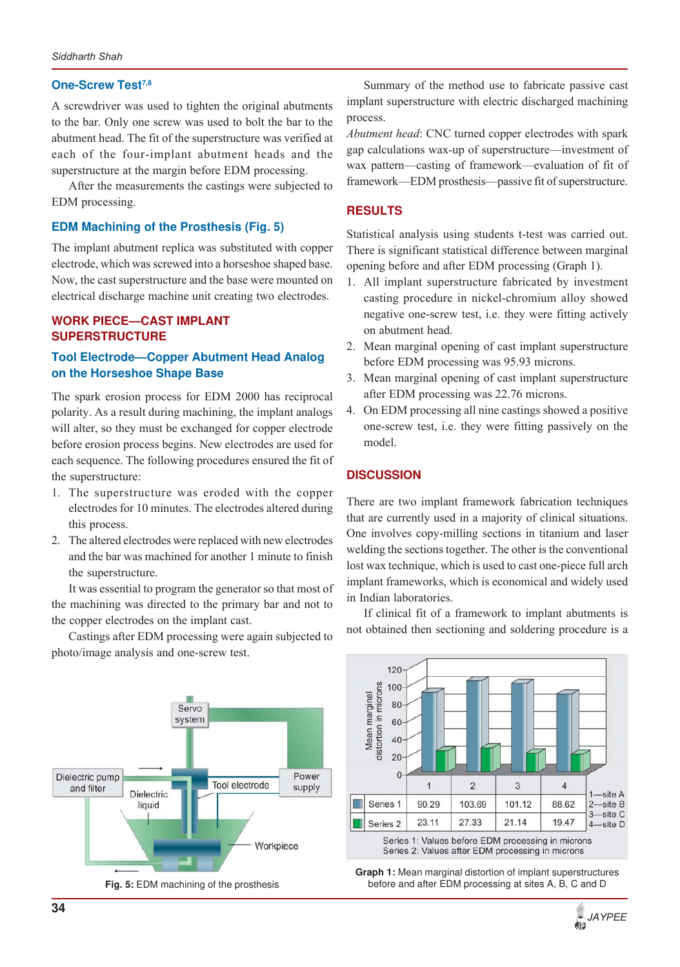#### **One-Screw Test7,8**

A screwdriver was used to tighten the original abutments to the bar. Only one screw was used to bolt the bar to the abutment head. The fit of the superstructure was verified at each of the four-implant abutment heads and the superstructure at the margin before EDM processing.

After the measurements the castings were subjected to EDM processing.

#### **EDM Machining of the Prosthesis (Fig. 5)**

The implant abutment replica was substituted with copper electrode, which was screwed into a horseshoe shaped base. Now, the cast superstructure and the base were mounted on electrical discharge machine unit creating two electrodes.

# **WORK PIECE—CAST IMPLANT SUPERSTRUCTURE**

## **Tool Electrode—Copper Abutment Head Analog on the Horseshoe Shape Base**

The spark erosion process for EDM 2000 has reciprocal polarity. As a result during machining, the implant analogs will alter, so they must be exchanged for copper electrode before erosion process begins. New electrodes are used for each sequence. The following procedures ensured the fit of the superstructure:

- 1. The superstructure was eroded with the copper electrodes for 10 minutes. The electrodes altered during this process.
- 2. The altered electrodes were replaced with new electrodes and the bar was machined for another 1 minute to finish the superstructure.

It was essential to program the generator so that most of the machining was directed to the primary bar and not to the copper electrodes on the implant cast.

Castings after EDM processing were again subjected to photo/image analysis and one-screw test.



**Fig. 5:** EDM machining of the prosthesis

Summary of the method use to fabricate passive cast implant superstructure with electric discharged machining process.

*Abutment head*: CNC turned copper electrodes with spark gap calculations wax-up of superstructure—investment of wax pattern—casting of framework—evaluation of fit of framework—EDM prosthesis—passive fit of superstructure.

## **RESULTS**

Statistical analysis using students t-test was carried out. There is significant statistical difference between marginal opening before and after EDM processing (Graph 1).

- 1. All implant superstructure fabricated by investment casting procedure in nickel-chromium alloy showed negative one-screw test, i.e. they were fitting actively on abutment head.
- 2. Mean marginal opening of cast implant superstructure before EDM processing was 95.93 microns.
- 3. Mean marginal opening of cast implant superstructure after EDM processing was 22.76 microns.
- 4. On EDM processing all nine castings showed a positive one-screw test, i.e. they were fitting passively on the model.

#### **DISCUSSION**

There are two implant framework fabrication techniques that are currently used in a majority of clinical situations. One involves copy-milling sections in titanium and laser welding the sections together. The other is the conventional lost wax technique, which is used to cast one-piece full arch implant frameworks, which is economical and widely used in Indian laboratories.

If clinical fit of a framework to implant abutments is not obtained then sectioning and soldering procedure is a



**Graph 1:** Mean marginal distortion of implant superstructures before and after EDM processing at sites A, B, C and D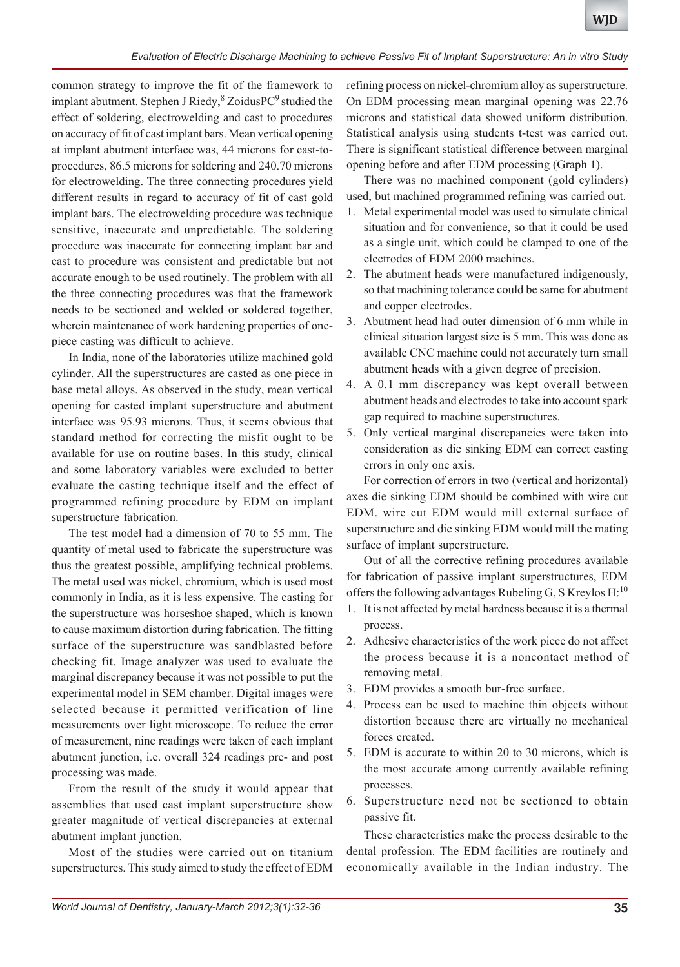common strategy to improve the fit of the framework to implant abutment. Stephen J Riedy, <sup>8</sup> ZoidusPC<sup>9</sup> studied the effect of soldering, electrowelding and cast to procedures on accuracy of fit of cast implant bars. Mean vertical opening at implant abutment interface was, 44 microns for cast-toprocedures, 86.5 microns for soldering and 240.70 microns for electrowelding. The three connecting procedures yield different results in regard to accuracy of fit of cast gold implant bars. The electrowelding procedure was technique sensitive, inaccurate and unpredictable. The soldering procedure was inaccurate for connecting implant bar and cast to procedure was consistent and predictable but not accurate enough to be used routinely. The problem with all the three connecting procedures was that the framework needs to be sectioned and welded or soldered together, wherein maintenance of work hardening properties of onepiece casting was difficult to achieve.

In India, none of the laboratories utilize machined gold cylinder. All the superstructures are casted as one piece in base metal alloys. As observed in the study, mean vertical opening for casted implant superstructure and abutment interface was 95.93 microns. Thus, it seems obvious that standard method for correcting the misfit ought to be available for use on routine bases. In this study, clinical and some laboratory variables were excluded to better evaluate the casting technique itself and the effect of programmed refining procedure by EDM on implant superstructure fabrication.

The test model had a dimension of 70 to 55 mm. The quantity of metal used to fabricate the superstructure was thus the greatest possible, amplifying technical problems. The metal used was nickel, chromium, which is used most commonly in India, as it is less expensive. The casting for the superstructure was horseshoe shaped, which is known to cause maximum distortion during fabrication. The fitting surface of the superstructure was sandblasted before checking fit. Image analyzer was used to evaluate the marginal discrepancy because it was not possible to put the experimental model in SEM chamber. Digital images were selected because it permitted verification of line measurements over light microscope. To reduce the error of measurement, nine readings were taken of each implant abutment junction, i.e. overall 324 readings pre- and post processing was made.

From the result of the study it would appear that assemblies that used cast implant superstructure show greater magnitude of vertical discrepancies at external abutment implant junction.

Most of the studies were carried out on titanium superstructures. This study aimed to study the effect of EDM

refining process on nickel-chromium alloy as superstructure. On EDM processing mean marginal opening was 22.76 microns and statistical data showed uniform distribution. Statistical analysis using students t-test was carried out. There is significant statistical difference between marginal opening before and after EDM processing (Graph 1).

There was no machined component (gold cylinders) used, but machined programmed refining was carried out.

- 1. Metal experimental model was used to simulate clinical situation and for convenience, so that it could be used as a single unit, which could be clamped to one of the electrodes of EDM 2000 machines.
- 2. The abutment heads were manufactured indigenously, so that machining tolerance could be same for abutment and copper electrodes.
- 3. Abutment head had outer dimension of 6 mm while in clinical situation largest size is 5 mm. This was done as available CNC machine could not accurately turn small abutment heads with a given degree of precision.
- 4. A 0.1 mm discrepancy was kept overall between abutment heads and electrodes to take into account spark gap required to machine superstructures.
- 5. Only vertical marginal discrepancies were taken into consideration as die sinking EDM can correct casting errors in only one axis.

For correction of errors in two (vertical and horizontal) axes die sinking EDM should be combined with wire cut EDM. wire cut EDM would mill external surface of superstructure and die sinking EDM would mill the mating surface of implant superstructure.

Out of all the corrective refining procedures available for fabrication of passive implant superstructures, EDM offers the following advantages Rubeling G, S Kreylos  $H:^{10}$ 

- 1. It is not affected by metal hardness because it is a thermal process.
- 2. Adhesive characteristics of the work piece do not affect the process because it is a noncontact method of removing metal.
- 3. EDM provides a smooth bur-free surface.
- 4. Process can be used to machine thin objects without distortion because there are virtually no mechanical forces created.
- 5. EDM is accurate to within 20 to 30 microns, which is the most accurate among currently available refining processes.
- 6. Superstructure need not be sectioned to obtain passive fit.

These characteristics make the process desirable to the dental profession. The EDM facilities are routinely and economically available in the Indian industry. The